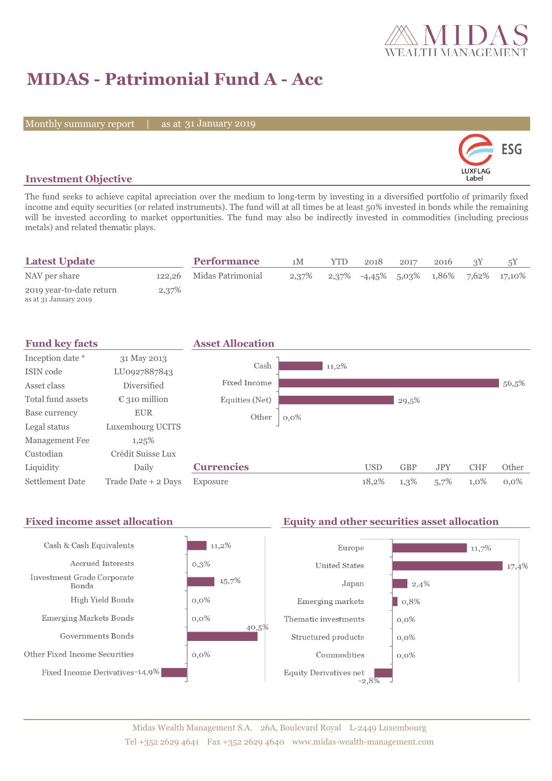

# **MIDAS - Patrimonial Fund A - Acc**

Monthly summary report | as at 31 January 2019



### **Investment Objective**

The fund seeks to achieve capital apreciation over the medium to long-term by investing in a diversified portfolio of primarily fixed income and equity securities (or related instruments). The fund will at all times be at least 50% invested in bonds while the remaining will be invested according to market opportunities. The fund may also be indirectly invested in commodities (including precious metals) and related thematic plays.

| <b>Latest Update</b>                              |       | <b>Performance</b>       | 1M | <b>YTD</b> | 2018                                                             | 2017 | 2016 |  |
|---------------------------------------------------|-------|--------------------------|----|------------|------------------------------------------------------------------|------|------|--|
| NAV per share                                     |       | 122,26 Midas Patrimonial |    |            | $2,37\%$ $2,37\%$ $-4,45\%$ $5,03\%$ $1,86\%$ $7,62\%$ $17,10\%$ |      |      |  |
| 2019 year-to-date return<br>as at 31 January 2019 | 2,37% |                          |    |            |                                                                  |      |      |  |

| <b>Fund key facts</b>  |                        | <b>Asset Allocation</b> |          |            |            |            |            |         |
|------------------------|------------------------|-------------------------|----------|------------|------------|------------|------------|---------|
| Inception date *       | 31 May 2013            |                         |          |            |            |            |            |         |
| ISIN code              | LU0927887843           | Cash                    | $11,2\%$ |            |            |            |            |         |
| Asset class            | Diversified            | Fixed Income            |          |            |            |            |            | 56,5%   |
| Total fund assets      | $\epsilon$ 310 million | Equities (Net)          |          |            | 29,5%      |            |            |         |
| Base currency          | <b>EUR</b>             | Other                   | $0,0\%$  |            |            |            |            |         |
| Legal status           | Luxembourg UCITS       |                         |          |            |            |            |            |         |
| Management Fee         | 1,25%                  |                         |          |            |            |            |            |         |
| Custodian              | Crédit Suisse Lux      |                         |          |            |            |            |            |         |
| Liquidity              | Daily                  | <b>Currencies</b>       |          | <b>USD</b> | <b>GBP</b> | <b>JPY</b> | <b>CHF</b> | Other   |
| <b>Settlement Date</b> | Trade Date + 2 Days    | Exposure                |          | 18,2%      | 1,3%       | 5,7%       | $1,0\%$    | $0.0\%$ |

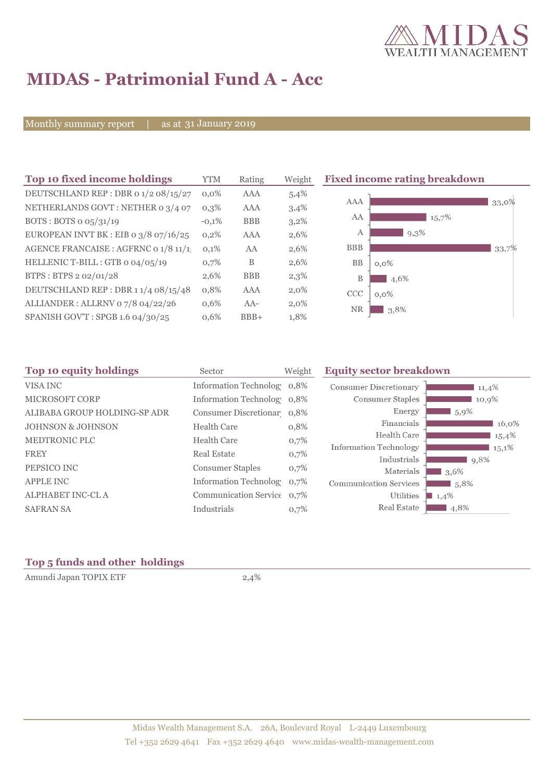

# **MIDAS - Patrimonial Fund A - Acc**

Monthly summary report | as at 31 January 2019

| Top 10 fixed income holdings            | <b>YTM</b> | Rating     | Weight  | <b>Fixed income rating breakdown</b> |
|-----------------------------------------|------------|------------|---------|--------------------------------------|
| DEUTSCHLAND REP : DBR o 1/2 08/15/27    | $0.0\%$    | AAA        | 5,4%    |                                      |
| NETHERLANDS GOVT: NETHER 0 3/4 07       | $0,3\%$    | AAA        | 3,4%    | AAA<br>33,0%                         |
| BOTS: BOTS $\sigma$ 05/31/19            | $-0.1%$    | <b>BBB</b> | $3,2\%$ | AA<br>15,7%                          |
| EUROPEAN INVT BK : EIB o $3/8$ o7/16/25 | 0,2%       | AAA        | 2,6%    | $9,3\%$<br>А                         |
| AGENCE FRANCAISE : AGFRNC 0 1/8 11/1.   | 0,1%       | AA         | 2,6%    | <b>BBB</b><br>33,7%                  |
| HELLENIC T-BILL : GTB 0 04/05/19        | 0,7%       | B          | 2,6%    | <b>BB</b><br>$0,0\%$                 |
| BTPS: BTPS 2 02/01/28                   | 2,6%       | <b>BBB</b> | 2,3%    | B<br>4,6%                            |
| DEUTSCHLAND REP: DBR 11/4 08/15/48      | 0,8%       | AAA        | $2,0\%$ | CCC<br>$0.0\%$                       |
| ALLIANDER: ALLRNV 07/8 04/22/26         | 0,6%       | AA-        | $2,0\%$ | <b>NR</b><br>3,8%                    |
| SPANISH GOV'T: SPGB 1.6 04/30/25        | 0,6%       | $BBB+$     | 1,8%    |                                      |

| Top 10 equity holdings       | Sector                     | Weight | <b>Equity sector breakdown</b> |           |  |  |
|------------------------------|----------------------------|--------|--------------------------------|-----------|--|--|
| VISA INC                     | Information Technolog 0,8% |        | Consumer Discretionary         | 11,4%     |  |  |
| <b>MICROSOFT CORP</b>        | Information Technolog 0,8% |        | Consumer Staples               | 10,9%     |  |  |
| ALIBABA GROUP HOLDING-SP ADR | Consumer Discretionar 0,8% |        | Energy                         | 5,9%      |  |  |
| <b>JOHNSON &amp; JOHNSON</b> | <b>Health Care</b>         | 0,8%   | Financials                     | 16,0%     |  |  |
| <b>MEDTRONIC PLC</b>         | <b>Health Care</b>         | 0,7%   | Health Care                    | 15,4%     |  |  |
|                              | Real Estate                |        | <b>Information Technology</b>  | 15,1%     |  |  |
| <b>FREY</b>                  |                            | 0,7%   | Industrials                    | 9,8%      |  |  |
| PEPSICO INC                  | <b>Consumer Staples</b>    | 0,7%   | Materials                      | 3,6%      |  |  |
| <b>APPLE INC</b>             | Information Technolog      | 0.7%   | <b>Communication Services</b>  | $1,5,8\%$ |  |  |
| <b>ALPHABET INC-CL A</b>     | Communication Service 0,7% |        | Utilities                      | 1,4%      |  |  |
| <b>SAFRAN SA</b>             | Industrials                | 0,7%   | Real Estate                    | 4,8%      |  |  |
|                              |                            |        |                                |           |  |  |

### **Top 5 funds and other holdings**

Amundi Japan TOPIX ETF 2,4%